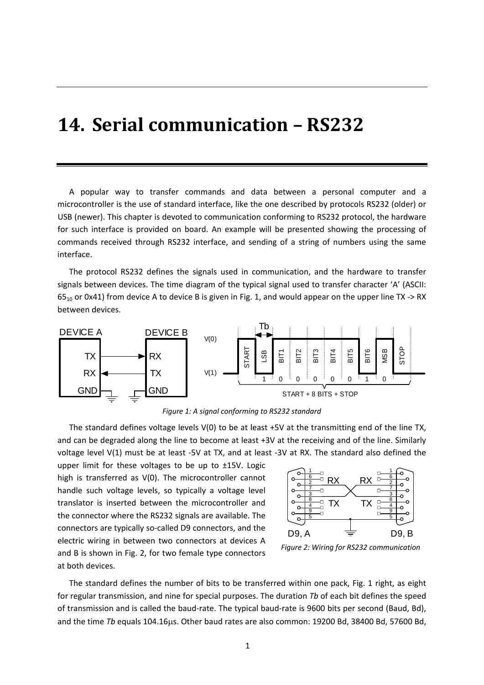## **14. Serial communication – RS232**

A popular way to transfer commands and data between a personal computer and a microcontroller is the use of standard interface, like the one described by protocols RS232 (older) or USB (newer). This chapter is devoted to communication conforming to RS232 protocol, the hardware for such interface is provided on board. An example will be presented showing the processing of commands received through RS232 interface, and sending of a string of numbers using the same interface.

The protocol RS232 defines the signals used in communication, and the hardware to transfer signals between devices. The time diagram of the typical signal used to transfer character 'A' (ASCII:  $65_{10}$  or 0x41) from device A to device B is given in Fig. 1, and would appear on the upper line TX -> RX between devices.



*Figure 1: A signal conforming to RS232 standard*

The standard defines voltage levels V(0) to be at least +5V at the transmitting end of the line TX, and can be degraded along the line to become at least +3V at the receiving and of the line. Similarly voltage level V(1) must be at least -5V at TX, and at least -3V at RX. The standard also defined the

upper limit for these voltages to be up to ±15V. Logic high is transferred as V(0). The microcontroller cannot handle such voltage levels, so typically a voltage level translator is inserted between the microcontroller and the connector where the RS232 signals are available. The connectors are typically so‐called D9 connectors, and the electric wiring in between two connectors at devices A and B is shown in Fig. 2, for two female type connectors at both devices.



*Figure 2: Wiring for RS232 communication*

The standard defines the number of bits to be transferred within one pack, Fig. 1 right, as eight for regular transmission, and nine for special purposes. The duration *Tb* of each bit defines the speed of transmission and is called the baud‐rate. The typical baud‐rate is 9600 bits per second (Baud, Bd), and the time *Tb* equals 104.16us. Other baud rates are also common: 19200 Bd, 38400 Bd, 57600 Bd,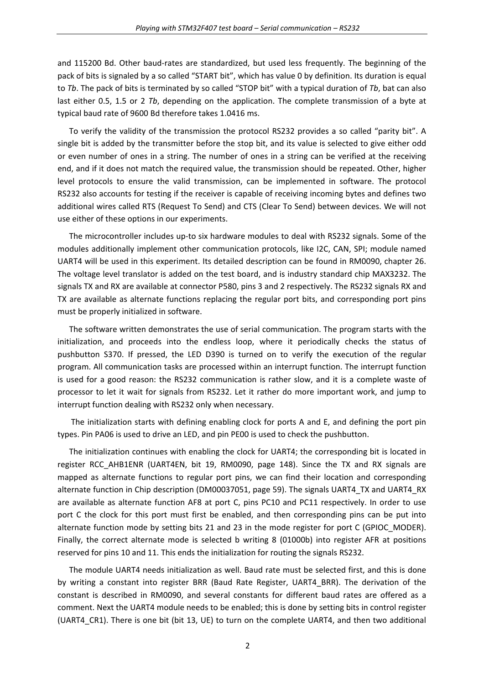and 115200 Bd. Other baud‐rates are standardized, but used less frequently. The beginning of the pack of bits is signaled by a so called "START bit", which has value 0 by definition. Its duration is equal to *Tb*. The pack of bits is terminated by so called "STOP bit" with a typical duration of *Tb*, bat can also last either 0.5, 1.5 or 2 *Tb*, depending on the application. The complete transmission of a byte at typical baud rate of 9600 Bd therefore takes 1.0416 ms.

To verify the validity of the transmission the protocol RS232 provides a so called "parity bit". A single bit is added by the transmitter before the stop bit, and its value is selected to give either odd or even number of ones in a string. The number of ones in a string can be verified at the receiving end, and if it does not match the required value, the transmission should be repeated. Other, higher level protocols to ensure the valid transmission, can be implemented in software. The protocol RS232 also accounts for testing if the receiver is capable of receiving incoming bytes and defines two additional wires called RTS (Request To Send) and CTS (Clear To Send) between devices. We will not use either of these options in our experiments.

The microcontroller includes up-to six hardware modules to deal with RS232 signals. Some of the modules additionally implement other communication protocols, like I2C, CAN, SPI; module named UART4 will be used in this experiment. Its detailed description can be found in RM0090, chapter 26. The voltage level translator is added on the test board, and is industry standard chip MAX3232. The signals TX and RX are available at connector P580, pins 3 and 2 respectively. The RS232 signals RX and TX are available as alternate functions replacing the regular port bits, and corresponding port pins must be properly initialized in software.

The software written demonstrates the use of serial communication. The program starts with the initialization, and proceeds into the endless loop, where it periodically checks the status of pushbutton S370. If pressed, the LED D390 is turned on to verify the execution of the regular program. All communication tasks are processed within an interrupt function. The interrupt function is used for a good reason: the RS232 communication is rather slow, and it is a complete waste of processor to let it wait for signals from RS232. Let it rather do more important work, and jump to interrupt function dealing with RS232 only when necessary.

The initialization starts with defining enabling clock for ports A and E, and defining the port pin types. Pin PA06 is used to drive an LED, and pin PE00 is used to check the pushbutton.

The initialization continues with enabling the clock for UART4; the corresponding bit is located in register RCC\_AHB1ENR (UART4EN, bit 19, RM0090, page 148). Since the TX and RX signals are mapped as alternate functions to regular port pins, we can find their location and corresponding alternate function in Chip description (DM00037051, page 59). The signals UART4\_TX and UART4\_RX are available as alternate function AF8 at port C, pins PC10 and PC11 respectively. In order to use port C the clock for this port must first be enabled, and then corresponding pins can be put into alternate function mode by setting bits 21 and 23 in the mode register for port C (GPIOC\_MODER). Finally, the correct alternate mode is selected b writing 8 (01000b) into register AFR at positions reserved for pins 10 and 11. This ends the initialization for routing the signals RS232.

The module UART4 needs initialization as well. Baud rate must be selected first, and this is done by writing a constant into register BRR (Baud Rate Register, UART4\_BRR). The derivation of the constant is described in RM0090, and several constants for different baud rates are offered as a comment. Next the UART4 module needs to be enabled; this is done by setting bits in control register (UART4\_CR1). There is one bit (bit 13, UE) to turn on the complete UART4, and then two additional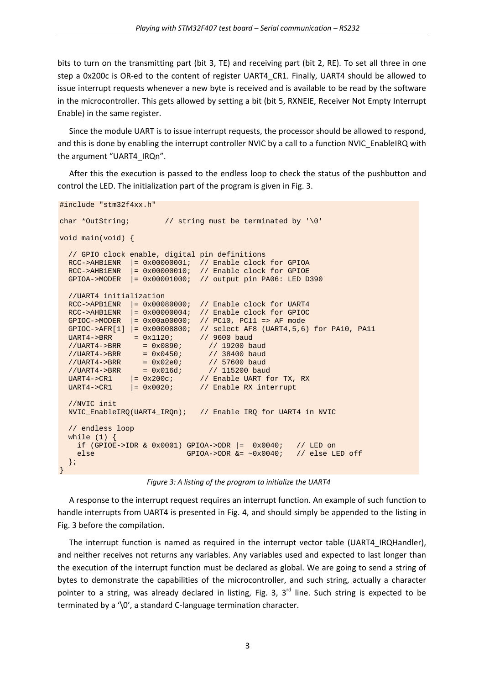bits to turn on the transmitting part (bit 3, TE) and receiving part (bit 2, RE). To set all three in one step a 0x200c is OR-ed to the content of register UART4\_CR1. Finally, UART4 should be allowed to issue interrupt requests whenever a new byte is received and is available to be read by the software in the microcontroller. This gets allowed by setting a bit (bit 5, RXNEIE, Receiver Not Empty Interrupt Enable) in the same register.

Since the module UART is to issue interrupt requests, the processor should be allowed to respond, and this is done by enabling the interrupt controller NVIC by a call to a function NVIC\_EnableIRQ with the argument "UART4\_IRQn".

After this the execution is passed to the endless loop to check the status of the pushbutton and control the LED. The initialization part of the program is given in Fig. 3.

```
#include "stm32f4xx.h" 
char *OutString; // string must be terminated by '\0' 
void main(void) { 
   // GPIO clock enable, digital pin definitions 
  RCC->AHB1ENR |= 0x00000001; // Enable clock for GPIOA
   RCC->AHB1ENR |= 0x00000010; // Enable clock for GPIOE 
   GPIOA->MODER |= 0x00001000; // output pin PA06: LED D390 
   //UART4 initialization 
   RCC->APB1ENR |= 0x00080000; // Enable clock for UART4 
   RCC->AHB1ENR |= 0x00000004; // Enable clock for GPIOC 
   GPIOC->MODER |= 0x00a00000; // PC10, PC11 => AF mode 
  GPIOC->AFR[1] | = 0x00008800; // select AF8 (UART4,5,6) for PA10, PA11 UART4->BRR = 0x1120; // 9600 baud
UART4->BRR = 0x1120; // 9600 baud
 //UART4->BRR = 0x0890; // 19200 baud 
 //UART4->BRR = 0x0450; // 38400 baud 
  //UART4->BRR = 0x00307<br>
//UART4->BRR = 0x0450; // 38400 baud<br>
//UART4->BRR = 0x02e0; // 57600 baud<br>
//UART4->BRR = 0x016d; // 115200 baud
 //UART4->BRR = 0x016d; // 115200 baud 
UART4->CR1 = 0x200c; // Enable UART for TX, RX
UART4->CR1 = 0x0020; // Enable RX interrupt
   //NVIC init 
   NVIC_EnableIRQ(UART4_IRQn); // Enable IRQ for UART4 in NVIC 
   // endless loop 
  while (1) {
    if (GPIOE->IDR & 0x0001) GPIOA->ODR = 0x0040; // LED on
    else GPIOA->ODR <= ~0x0040; // else LED off
   }; 
}
```
*Figure 3: A listing of the program to initialize the UART4*

A response to the interrupt request requires an interrupt function. An example of such function to handle interrupts from UART4 is presented in Fig. 4, and should simply be appended to the listing in Fig. 3 before the compilation.

The interrupt function is named as required in the interrupt vector table (UART4\_IRQHandler), and neither receives not returns any variables. Any variables used and expected to last longer than the execution of the interrupt function must be declared as global. We are going to send a string of bytes to demonstrate the capabilities of the microcontroller, and such string, actually a character pointer to a string, was already declared in listing, Fig. 3,  $3<sup>rd</sup>$  line. Such string is expected to be terminated by a '\0', a standard C-language termination character.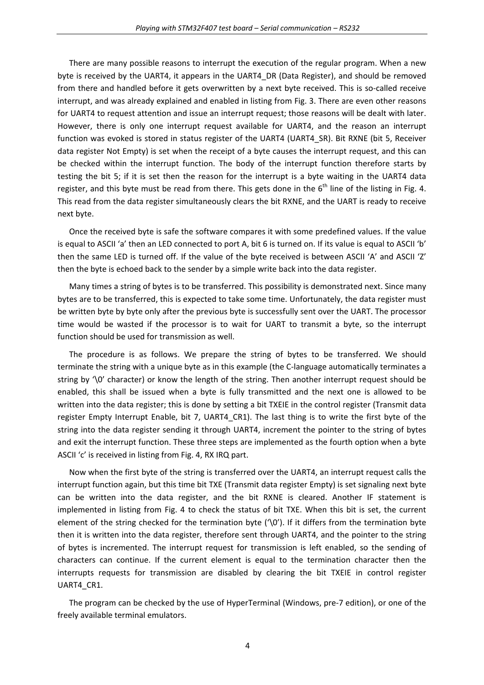There are many possible reasons to interrupt the execution of the regular program. When a new byte is received by the UART4, it appears in the UART4\_DR (Data Register), and should be removed from there and handled before it gets overwritten by a next byte received. This is so-called receive interrupt, and was already explained and enabled in listing from Fig. 3. There are even other reasons for UART4 to request attention and issue an interrupt request; those reasons will be dealt with later. However, there is only one interrupt request available for UART4, and the reason an interrupt function was evoked is stored in status register of the UART4 (UART4 SR). Bit RXNE (bit 5, Receiver data register Not Empty) is set when the receipt of a byte causes the interrupt request, and this can be checked within the interrupt function. The body of the interrupt function therefore starts by testing the bit 5; if it is set then the reason for the interrupt is a byte waiting in the UART4 data register, and this byte must be read from there. This gets done in the  $6<sup>th</sup>$  line of the listing in Fig. 4. This read from the data register simultaneously clears the bit RXNE, and the UART is ready to receive next byte.

Once the received byte is safe the software compares it with some predefined values. If the value is equal to ASCII 'a' then an LED connected to port A, bit 6 is turned on. If its value is equal to ASCII 'b' then the same LED is turned off. If the value of the byte received is between ASCII 'A' and ASCII 'Z' then the byte is echoed back to the sender by a simple write back into the data register.

Many times a string of bytes is to be transferred. This possibility is demonstrated next. Since many bytes are to be transferred, this is expected to take some time. Unfortunately, the data register must be written byte by byte only after the previous byte is successfully sent over the UART. The processor time would be wasted if the processor is to wait for UART to transmit a byte, so the interrupt function should be used for transmission as well.

The procedure is as follows. We prepare the string of bytes to be transferred. We should terminate the string with a unique byte as in this example (the C‐language automatically terminates a string by '\0' character) or know the length of the string. Then another interrupt request should be enabled, this shall be issued when a byte is fully transmitted and the next one is allowed to be written into the data register; this is done by setting a bit TXEIE in the control register (Transmit data register Empty Interrupt Enable, bit 7, UART4 CR1). The last thing is to write the first byte of the string into the data register sending it through UART4, increment the pointer to the string of bytes and exit the interrupt function. These three steps are implemented as the fourth option when a byte ASCII 'c' is received in listing from Fig. 4, RX IRQ part.

Now when the first byte of the string is transferred over the UART4, an interrupt request calls the interrupt function again, but this time bit TXE (Transmit data register Empty) is set signaling next byte can be written into the data register, and the bit RXNE is cleared. Another IF statement is implemented in listing from Fig. 4 to check the status of bit TXE. When this bit is set, the current element of the string checked for the termination byte  $'$ \0'). If it differs from the termination byte then it is written into the data register, therefore sent through UART4, and the pointer to the string of bytes is incremented. The interrupt request for transmission is left enabled, so the sending of characters can continue. If the current element is equal to the termination character then the interrupts requests for transmission are disabled by clearing the bit TXEIE in control register UART4 CR1.

The program can be checked by the use of HyperTerminal (Windows, pre‐7 edition), or one of the freely available terminal emulators.